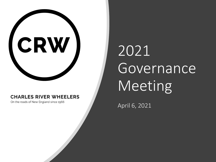

#### **CHARLES RIVER WHEELERS**

On the roads of New England since 1966

# 2021 Governance Meeting

April 6, 2021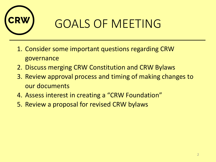

# GOALS OF MEETING

- 1. Consider some important questions regarding CRW governance
- 2. Discuss merging CRW Constitution and CRW Bylaws
- 3. Review approval process and timing of making changes to our documents
- 4. Assess interest in creating a "CRW Foundation"
- 5. Review a proposal for revised CRW bylaws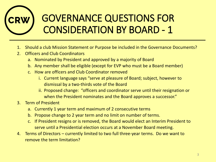# GOVERNANCE QUESTIONS FOR CONSIDERATION BY BOARD - 1

- 1. Should a club Mission Statement or Purpose be included in the Governance Documents?
- 2. Officers and Club Coordinators
	- a. Nominated by President and approved by a majority of Board
	- b. Any member shall be eligible (except for EVP who must be a Board member)
	- c. How are officers and Club Coordinator removed
		- i. Current language says "serve at pleasure of Board; subject, however to dismissal by a two-thirds vote of the Board
		- ii. Proposed change: "officers and coordinator serve until their resignation or when the President nominates and the Board approves a successor."
- 3. Term of President
	- a. Currently 1 year term and maximum of 2 consecutive terms
	- b. Propose change to 2 year term and no limit on number of terms.
	- c. If President resigns or is removed, the Board would elect an Interim President to serve until a Presidential election occurs at a November Board meeting.
- 4. Terms of Directors currently limited to two full three-year terms. Do we want to remove the term limitation?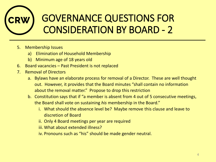# GOVERNANCE QUESTIONS FOR CONSIDERATION BY BOARD - 2

- 5. Membership Issues
	- a) Elimination of Household Membership
	- b) Minimum age of 18 years old
- 6. Board vacancies Past President is not replaced
- 7. Removal of Directors
	- a. Bylaws have an elaborate process for removal of a Director. These are well thought out. However, it provides that the Board minutes "shall contain no information about the removal matter." Propose to drop this restriction
	- b. Constitution says that if "a member is absent from 4 out of 5 consecutive meetings, the Board shall vote on sustaining *his* membership in the Board."
		- i. What should the absence level be? Maybe remove this clause and leave to discretion of Board
		- ii. Only 4 Board meetings per year are required
		- iii. What about extended illness?
		- iv. Pronouns such as "his" should be made gender neutral.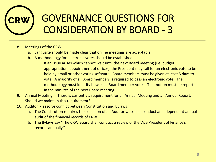# GOVERNANCE QUESTIONS FOR CONSIDERATION BY BOARD - 3

- 8. Meetings of the CRW
	- a. Language should be made clear that online meetings are acceptable
	- b. A methodology for electronic votes should be established.
		- i. If an issue arises which cannot wait until the next Board meeting (i.e. budget appropriation, appointment of officer), the President may call for an electronic vote to be held by email or other voting software. Board members must be given at least 5 days to vote. A majority of all Board members is required to pass an electronic vote. The methodology must identify how each Board member votes. The motion must be reported in the minutes of the next Board meeting.
- 9. Annual Meeting There is currently a requirement for an Annual Meeting and an Annual Report. Should we maintain this requirement?
- 10. Auditor resolve conflict between Constitution and Bylaws
	- a. The Constitution requires the selection of an Auditor who shall conduct an independent annual audit of the financial records of CRW.
	- b. The Bylaws say "The CRW Board shall conduct a review of the Vice President of Finance's records annually."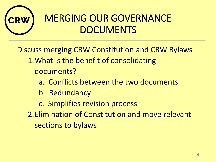

# MERGING OUR GOVERNANCE **DOCUMENTS**

Discuss merging CRW Constitution and CRW Bylaws

- 1.What is the benefit of consolidating
	- documents?
		- a. Conflicts between the two documents
		- b. Redundancy
		- c. Simplifies revision process
- 2.Elimination of Constitution and move relevant sections to bylaws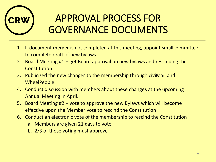

# APPROVAL PROCESS FOR GOVERNANCE DOCUMENTS

- 1. If document merger is not completed at this meeting, appoint small committee to complete draft of new bylaws
- 2. Board Meeting #1 get Board approval on new bylaws and rescinding the **Constitution**
- 3. Publicized the new changes to the membership through civiMail and WheelPeople.
- 4. Conduct discussion with members about these changes at the upcoming Annual Meeting in April.
- 5. Board Meeting #2 vote to approve the new Bylaws which will become effective upon the Member vote to rescind the Constitution
- 6. Conduct an electronic vote of the membership to rescind the Constitution
	- a. Members are given 21 days to vote
	- b. 2/3 of those voting must approve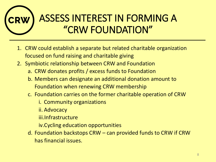# ASSESS INTEREST IN FORMING A "CRW FOUNDATION"

- 1. CRW could establish a separate but related charitable organization focused on fund raising and charitable giving
- 2. Symbiotic relationship between CRW and Foundation
	- a. CRW donates profits / excess funds to Foundation
	- b. Members can designate an additional donation amount to Foundation when renewing CRW membership
	- c. Foundation carries on the former charitable operation of CRW
		- i. Community organizations
		- ii. Advocacy
		- iii.Infrastructure
		- iv.Cycling education opportunities
	- d. Foundation backstops CRW can provided funds to CRW if CRW has financial issues.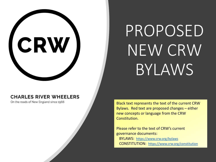#### **CHARLES RIVER WHEELERS**

CRW

On the roads of New England since 1966

# PROPOSED NEW CRW BYLAWS

Black text represents the text of the current CRW Bylaws. Red text are proposed changes – either new concepts or language from the CRW Constitution.

Please refer to the text of CRW's current governance documents: BYLAWS: <https://www.crw.org/bylaws> CONSTITUTION: <https://www.crw.org/constitution>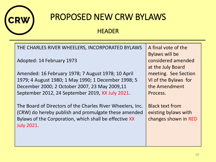

#### **HEADER**

THE CHARLES RIVER WHEELERS, INCORPORATED BYLAWS

Adopted: 14 February 1973

Amended: 16 February 1978; 7 August 1978; 10 April 1979; 4 August 1980; 1 May 1990; 1 December 1998; 5 December 2000; 2 October 2007, 23 May 2009,11 September 2012, 24 September 2019, XX July 2021.

The Board of Directors of the Charles River Wheelers, Inc. (CRW) do hereby publish and promulgate these amended Bylaws of the Corporation, which shall be effective XX July 2021.

A final vote of the Bylaws will be considered amended at the July Board meeting. See Section VI of the Bylaws for the Amendment Process.

Black text from existing bylaws with changes shown in RED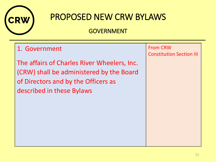

### GOVERNMENT

### 1. Government

The affairs of Charles River Wheelers, Inc. (CRW) shall be administered by the Board of Directors and by the Officers as described in these Bylaws

From CRW Constitution Section III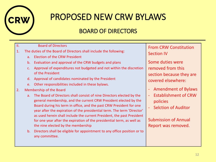

### BOARD OF DIRECTORS

| П.                            |                                                                   | <b>Board of Directors</b>                                                                                                                                                                                                                                                                                                                                                                                                                                                             |
|-------------------------------|-------------------------------------------------------------------|---------------------------------------------------------------------------------------------------------------------------------------------------------------------------------------------------------------------------------------------------------------------------------------------------------------------------------------------------------------------------------------------------------------------------------------------------------------------------------------|
| 1.                            | The duties of the Board of Directors shall include the following: |                                                                                                                                                                                                                                                                                                                                                                                                                                                                                       |
|                               | a <sub>r</sub>                                                    | <b>Election of the CRW President</b>                                                                                                                                                                                                                                                                                                                                                                                                                                                  |
|                               | b.                                                                | Evaluation and approval of the CRW budgets and plans                                                                                                                                                                                                                                                                                                                                                                                                                                  |
|                               | C <sub>1</sub>                                                    | Approval of expenditures not budgeted and not within the discretion<br>of the President                                                                                                                                                                                                                                                                                                                                                                                               |
|                               | d.                                                                | Approval of candidates nominated by the President                                                                                                                                                                                                                                                                                                                                                                                                                                     |
|                               | e.                                                                | Other responsibilities included in these bylaws.                                                                                                                                                                                                                                                                                                                                                                                                                                      |
| 2.<br>Membership of the Board |                                                                   |                                                                                                                                                                                                                                                                                                                                                                                                                                                                                       |
|                               | a <sub>r</sub>                                                    | The Board of Directors shall consist of nine Directors elected by the<br>general membership, and the current CRW President elected by the<br>Board during his term in office, and the past CRW President for one<br>year after the expiration of the presidential term. The term 'Director'<br>as used herein shall include the current President, the past President<br>for one year after the expiration of the presidential term, as well as<br>the nine elected by the membership |
|                               | $b_{-}$                                                           | Directors shall be eligible for appointment to any office position or to<br>any committee.                                                                                                                                                                                                                                                                                                                                                                                            |

From CRW Constitution Section IV

Some duties were removed from this section because they are covered elsewhere:

- Amendment of Bylaws
- Establishment of CRW policies
- **Selction of Auditor**

Submission of Annual Report was removed.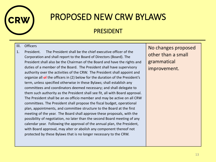

#### PRESIDENT

#### III. Officers

1. President. The President shall be the chief executive officer of the Corporation and shall report to the Board of Directors (Board). The President shall also be the Chairman of the Board and have the rights and duties of a member of the Board. The President shall have supervisory authority over the activities of the CRW. The President shall appoint and organize all of the officers in (2) below for the duration of the President's term, unless specified otherwise in these Bylaws; shall establish any committees and coordinators deemed necessary; and shall delegate to them such authority as the President shall see fit, all with Board approval. The President shall be an ex officio member and may be active on all CRW committees. The President shall propose the fiscal budget, operational plan, appointments, and committee structure to the Board at the first meeting of the year. The Board shall approve these proposals, with the possibility of negotiation, no later than the second Board meeting of any calendar year. Following the approval of the annual plan, the President, with Board approval, may alter or abolish any component thereof not protected by these Bylaws that is no longer necessary to the CRW.

No changes proposed other than a small grammatical improvement.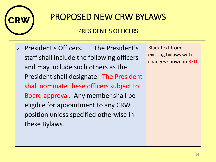

### PRESIDENT'S OFFICERS

2. President's Officers. The President's staff shall include the following officers and may include such others as the President shall designate. The President shall nominate these officers subject to Board approval. Any member shall be eligible for appointment to any CRW position unless specified otherwise in these Bylaws.

Black text from existing bylaws with changes shown in RED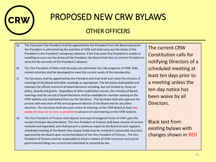

#### OTHER OFFICERS

- a) The Executive Vice President shall be appointed by the President from the Board and assist the President in administering the activities of CRW and shall carry out the duties of the President in the President's temporary absence. If the Executive Vice President is unable or unwilling to carry out the duties of the President, the Board shall elect an interim President to serve for the duration of the President's absence.
- b) The Vice President of Rides shall develop and administer the ride programs of CRW. Riderelated activities shall be developed to meet the current needs of the membership.
- c) The Secretary shall be appointed by the President and shall draft and retain the minutes of meetings of the Board and other meetings as appropriate. The Secretary shall publish and maintain the official record of all board decisions including, but not limited to, those on policy, awards and grants. Regardless of other publication venues, the minutes of Board meetings and the record of Board decisions shall be available for member viewing on the CRW website and maintained there by the Secretary. The Secretary shall also approve the process and execution of the annual general election of the Board and for any other elections. The Secretary shall also post notice of meetings of the CRW Board at least two weeks ten days (or as soon as possible) in advance of said meeting on the CRW website.
- d) The Vice President of Finance shall deposit and expend budgeted funds of CRW upon the receipt of proper documentation. The Vice President of Finance shall keep records of monies received and expended, and shall present a summary report to the Board at each regularly scheduled meeting of the Board. Any surplus funds may be invested in reasonable securities approved by the Board upon recommendation of the Vice President of Finance. The Vice President of Finance shall be responsible to ensure matters of CRW insurance and any/all governmental filings are current and submitted as required by law.

The current CRW Constitution calls for notifying Directors of a scheduled meeting at least ten days prior to a meeting unless the ten-day notice has been waive by all Directors.

Black text from existing bylaws with changes shown in RED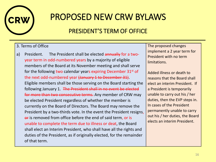

### PRESIDENT'S TERM OF OFFICE

#### 3. Terms of Office

a) President. The President shall be elected annually for a twoyear term in odd-numbered years by a majority of eligible members of the Board at its November meeting and shall serve for the following two calendar years expiring December  $31<sup>st</sup>$  of the next odd-numbered year (January 1 to December 31). Eligible members shall be those serving on the Board starting the following January 1. The President shall in no event be elected for more than two consecutive terms. Any member of CRW may be elected President regardless of whether the member is currently on the Board of Directors. The Board may remove the President by a two-thirds vote. In the event the President resigns, or is removed from office before the end of said term, or is unable to complete the term due to illness or deat, the Board shall elect an Interim President, who shall have all the rights and duties of the President, as if originally elected, for the remainder of that term.

The proposed changes implement a 2 year term for President with no term limitations.

Added illness or death to reasons that the Board shall elect an interim President. If a President is temporarily unable to carry out his / her duties, then the EVP steps in. In cases of the President permanently unable to carry out his / her duties, the Board elects an interim President.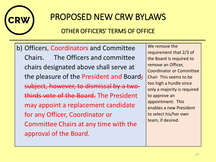

### OTHER OFFICERS' TERMS OF OFFICE

b) Officers, Coordinators and Committee Chairs. The Officers and committee chairs designated above shall serve at the pleasure of the President and Board; subject, however, to dismissal by a twothirds vote of the Board. The President may appoint a replacement candidate for any Officer, Coordinator or Committee Chairs at any time with the approval of the Board.

We remove the requirement that 2/3 of the Board is required to remove an Officer, Coordinator or Committee Chair This seems to be too high a hurdle since only a majority is required to approve an appointment. This enables a new President to select his/her own team, if desired.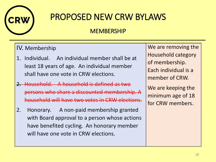

### MEMBERSHIP

#### IV. Membership

- 1. Individual. An individual member shall be at least 18 years of age. An individual member shall have one vote in CRW elections.
- 2. Household. A household is defined as two persons who share a discounted membership. A household will have two votes in CRW elections.
- 2. Honorary. A non-paid membership granted with Board approval to a person whose actions have benefited cycling. An honorary member will have one vote in CRW elections.

We are removing the Household category of membership. Each individual is a member of CRW.

We are keeping the minimum age of 18 for CRW members.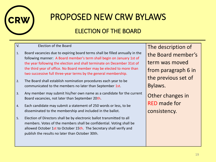

### ELECTION OF THE BOARD

V. Election of the Board

- 1. Board vacancies due to expiring board terms shall be filled annually in the following manner: A Board member's term shall begin on January 1st of the year following the election and shall terminate on December 31st of the third year of office. No Board member may be elected to more than two successive full three-year terms by the general membership.
- 2. The Board shall establish nomination procedures each year to be communicated to the members no later than September 1st.
- 3. Any member may submit his/her own name as a candidate for the current Board vacancies, not later than September 20th.
- 4. Each candidate may submit a statement of 250 words or less, to be disseminated to the membership and included in the ballot.
- 5. Election of Directors shall be by electronic ballot transmitted to all members. Votes of the members shall be confidential. Voting shall be allowed October 1st to October 15th. The Secretary shall verify and publish the results no later than October 30th.

The description of the Board member's term was moved from paragraph 6 in the previous set of Bylaws.

Other changes in RED made for consistency.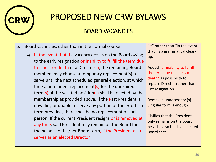

#### BOARD VACANCIES

- 6. Board vacancies, other than in the normal course:
	- a) In the event that If a vacancy occurs on the Board owing to the early resignation or inability to fulfill the term due to illness or death of a Director $\left\{s\right\}$ , the remaining Board members may choose a temporary replacement(s) to serve until the next scheduled general election, at which time a permanent replacement $\left\{s\right\}$  for the unexpired term(s) of the vacated position(s) shall be elected by the membership as provided above. If the Past President is unwilling or unable to serve any portion of the ex officio term provided, there shall be no replacement of such person. If the current President resigns or is removed at any time, said President may remain on the Board for the balance of his/her Board term, if the President also serves as an elected Director.

"If" rather than "In the event that" is a grammatical cleanup.

Added "or inability to fulfill the term due to illness or death" as possibility to replace Director rather than just resignation.

Removed unnecessary (s). Singular form is enough.

Claifies that the President only remains on the board if he / she also holds an elected Board seat.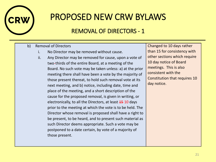

### REMOVAL OF DIRECTORS - 1

#### b) Removal of Directors

- i. No Director may be removed without cause.
- ii. Any Director may be removed for cause, upon a vote of two-thirds of the entire Board, at a meeting of the Board. No such vote may be taken unless: a) at the prior meeting there shall have been a vote by the majority of those present thereat, to hold such removal vote at its next meeting, and b) notice, including date, time and place of the meeting, and a short description of the cause for the proposed removal, is given in writing, or electronically, to all the Directors, at least 45 10 days prior to the meeting at which the vote is to be held. The Director whose removal is proposed shall have a right to be present, to be heard, and to present such material as such Director deems appropriate. Such a vote may be postponed to a date certain, by vote of a majority of those present.

Changed to 10 days rather than 15 for consistency with other sections which require 10 day notice of Board meetings. This is also consistent with the Constitution that requires 10 day notice.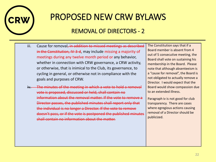

### REMOVAL OF DIRECTORS - 2

- iii. Cause for removal<del>, in addition to missed meetings as described</del> in the Constitution, IV-3-d, may include missing a majority of meetings during any twelve month period or any behavior, whether in connection with CRW governance, a CRW activity, or otherwise, that is inimical to the Club, its governance, to cycling in general, or otherwise not in compliance with the goals and purposes of CRW.
- iv. The minutes of the meeting in which a vote to hold a removal vote is proposed, discussed or held, shall contain no information about the removal matter. If the vote to remove a Director passes, the published minutes shall report only that the individual is no longer a Director. If the vote to remove doesn't pass, or if the vote is postponed the published minutes shall contain no information about the matter.

The Constitution says that if a Board member is absent from 4 out of 5 consecutive meeting, the Board shall vote on sustaining his membership in the Board. Please note that although absenteeism is a "cause for removal", the Board is not obligated to actually remove a Director. I would expect that the Board would show compassion due to an extended illness.

Paragraph iv is not good for club transparency. There are cases where egregious actions causing removal of a Director should be publicized.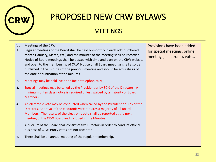

### **MEETINGS**

| VI.<br>1. | Meetings of the CRW<br>Regular meetings of the Board shall be held bi-monthly in each odd numbered<br>month (January, March, etc.) and the minutes of the meeting shall be recorded.<br>Notice of Board meetings shall be posted with time and date on the CRW website<br>and open to the membership of CRW. Notice of all Board meetings shall also be<br>published in the minutes of the previous meeting and should be accurate as of<br>the date of publication of the minutes. | Provisions have been added<br>for special meetings, online<br>meetings, electronics votes. |
|-----------|-------------------------------------------------------------------------------------------------------------------------------------------------------------------------------------------------------------------------------------------------------------------------------------------------------------------------------------------------------------------------------------------------------------------------------------------------------------------------------------|--------------------------------------------------------------------------------------------|
| 2.        | Meetings may be held live or online or telephonically.                                                                                                                                                                                                                                                                                                                                                                                                                              |                                                                                            |
| 3.        | Special meetings may be called by the President or by 30% of the Directors. A<br>minimum of ten days notice is required unless waived by a majority of Board<br>Members                                                                                                                                                                                                                                                                                                             |                                                                                            |
| 4.        | An electronic vote may be conducted when called by the President or 30% of the<br>Directors. Approval of the electronic vote requires a majority of all Board<br>Members. The results of the electronic vote shall be reported at the next<br>meeting of the CRW Board and included in the Minutes.                                                                                                                                                                                 |                                                                                            |
| 5.        | A quorum of the Board shall consist of five Directors in order to conduct official<br>business of CRW. Proxy votes are not accepted.                                                                                                                                                                                                                                                                                                                                                |                                                                                            |
| 6.        | There shall be an annual meeting of the regular membership.                                                                                                                                                                                                                                                                                                                                                                                                                         |                                                                                            |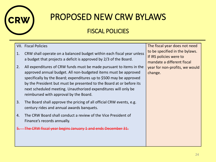

### FISCAL POLICIES

#### VII. Fiscal Policies

- 1. CRW shall operate on a balanced budget within each fiscal year unless a budget that projects a deficit is approved by 2/3 of the Board.
- 2. All expenditures of CRW funds must be made pursuant to items in the approved annual budget. All non-budgeted items must be approved specifically by the Board; expenditures up to \$500 may be approved by the President but must be presented to the Board at or before its next scheduled meeting. Unauthorized expenditures will only be reimbursed with approval by the Board.
- 3. The Board shall approve the pricing of all official CRW events, e.g. century rides and annual awards banquets.
- 4. The CRW Board shall conduct a review of the Vice President of Finance's records annually.
- The CRW fiscal year begins January 1 and ends December 31.

The fiscal year does not need to be specified in the bylaws. If IRS policies were to mandate a different fiscal year for non-profits, we would change.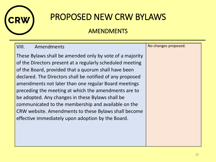

### AMENDMENTS

#### VIII. Amendments

These Bylaws shall be amended only by vote of a majority of the Directors present at a regularly scheduled meeting of the Board, provided that a quorum shall have been declared. The Directors shall be notified of any proposed amendments not later than one regular Board meetings preceding the meeting at which the amendments are to be adopted. Any changes in these Bylaws shall be communicated to the membership and available on the CRW website. Amendments to these Bylaws shall become effective immediately upon adoption by the Board.

| No changes proposed. |  |
|----------------------|--|
|----------------------|--|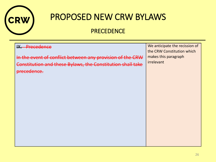

### **PRECEDENCE**

| We anticipate the recission of<br>the CRW Constitution which |
|--------------------------------------------------------------|
| makes this paragraph                                         |
| irrelevant                                                   |
|                                                              |
|                                                              |
|                                                              |
|                                                              |
|                                                              |
|                                                              |
|                                                              |
|                                                              |
|                                                              |
|                                                              |
|                                                              |
|                                                              |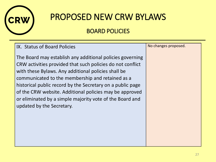

### BOARD POLICIES

| IX. Status of Board Policies                                                                                                                                                                                                                                                                                                                                                                                                                         | No changes proposed. |
|------------------------------------------------------------------------------------------------------------------------------------------------------------------------------------------------------------------------------------------------------------------------------------------------------------------------------------------------------------------------------------------------------------------------------------------------------|----------------------|
| The Board may establish any additional policies governing<br>CRW activities provided that such policies do not conflict<br>with these Bylaws. Any additional policies shall be<br>communicated to the membership and retained as a<br>historical public record by the Secretary on a public page<br>of the CRW website. Additional policies may be approved<br>or eliminated by a simple majority vote of the Board and<br>updated by the Secretary. |                      |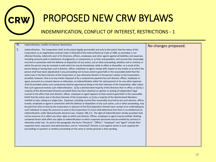

#### INDEMNIFICATION, CONFLICT OF INTEREST, RESTRICTIONS - 1

#### IX. Indemnification, Conflict of Interest, Restrictions

1. Indemnification. The Corporation shall, to the extent legally permissible and only to the extent that the status of the Corporation as an organization exempt under § 501(c)(3) of the Internal Revenue Code of 1986, as amended, is not affected thereby, indemnify each of its Directors, officers, employees and other agents against all liabilities and expenses, including amounts paid in satisfaction of judgments, in compromise or as fines and penalties, and counsel fees reasonably incurred in connection with the defense or disposition of any action, suit or other proceeding, whether civil or criminal, in which the person may be involved or with which he may be threatened, while in office or thereafter, as a result of the person being or having been such a director, officer, employee or agent, except with respect to any matter as to which the person shall have been adjudicated in any proceeding not to have acted in good faith in the reasonable belief that the action was in the best interests of the Corporation or was otherwise derelict in the person's duties to the Corporation; provided, however, that as to any matter disposed of by a compromise payment by such director, officer, employee or agent, pursuant to a consent decree or otherwise, no indemnification either for said payment or for any other expenses shall be provided unless such compromise shall be approved as being in the best interests of the Corporation, after notice that such approval involves such indemnification: (a) by a disinterested majority of the Directors then in office; or (b) by a majority of the disinterested Directors provided there has been obtained an opinion in writing of independent legal counsel to the effect that such director, officer, employee or agent appears to have acted in good faith in the reasonable belief that the action was in the best interests of the Corporation; or (c) by a majority of the disinterested Members entitled to vote, voting as a single class. Expenses, including counsel fees reasonably incurred by any such director, officer, trustee, employee or agent in connection with the defense or disposition of any such action, suit or other proceeding, may be paid from time to time by the Corporation in advance of the final disposition thereof upon receipt of an undertaking by such individual to repay the amounts so paid to the Corporation if a Court shall determine that there is no entitlement to indemnification under Massachusetts General Laws, Chapter 180, § 6. The right of indemnification hereby provided shall not be exclusive of or affect any other rights to which any Director, Officer, employee or agent may be entitled. Nothing contained herein shall affect any rights to indemnification to which corporate personnel may be entitled by contract or otherwise under law. As used in this paragraph, the terms "Directors", "Officer", "employee" and "agent" include their respective heirs, executors and administrators, and an "interested" Director is one against whom in such capacity the proceedings in question or another proceeding on the same or similar grounds is then pending.

#### No changes proposed.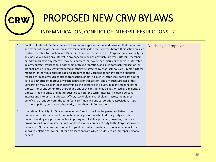

#### INDEMNIFICATION, CONFLICT OF INTEREST, RESTRICTIONS - 2

| Conflict of Interest. In the absence of fraud or misrepresentation, and provided that the nature       | No changes proposed.                                                                                                                                                                   |
|--------------------------------------------------------------------------------------------------------|----------------------------------------------------------------------------------------------------------------------------------------------------------------------------------------|
| and extent of the person's interest was fairly disclosed to the Directors before their action on such  |                                                                                                                                                                                        |
| contract or other transaction, any Director, Officer, or member of this Corporation individually, or   |                                                                                                                                                                                        |
| any individual having any interest in any concern in which any such Directors, Officers, members       |                                                                                                                                                                                        |
| or individuals have any interest, may be a party to, or may be pecuniarily or otherwise interested     |                                                                                                                                                                                        |
| in, any contract, transaction, or other act of this Corporation, and such contract, transaction, or    |                                                                                                                                                                                        |
| act shall not be in any way invalidated or otherwise affected by that fact; no such Director, Officer, |                                                                                                                                                                                        |
| member, or individual shall be liable to account to the Corporation for any profit or benefit          |                                                                                                                                                                                        |
| realized through any such contract, transaction, or act; no such Director shall participate in the     |                                                                                                                                                                                        |
| vote to authorize or approve any such contract or transaction; and any such Director of this           |                                                                                                                                                                                        |
| Corporation may be counted in determining the existence of a quorum at any meeting of the              |                                                                                                                                                                                        |
| Directors or of any committee thereof and any such contract may be authorized by a majority of         |                                                                                                                                                                                        |
| Directors then in office and not disqualified to vote; the term "interest" including personal          |                                                                                                                                                                                        |
| interest and interest as a Director, Officer, stockholder, shareholder, trustee, member or             |                                                                                                                                                                                        |
| beneficiary of any concern; the term "concern" meaning any corporation, association, trust,            |                                                                                                                                                                                        |
| partnership, firm, person, or other entity other than this Corporation.                                |                                                                                                                                                                                        |
|                                                                                                        |                                                                                                                                                                                        |
|                                                                                                        |                                                                                                                                                                                        |
| notwithstanding any provision of law imposing such liability; provided, however, that such             |                                                                                                                                                                                        |
| provision shall not eliminate or limit liability (1) for any breach of duty to the Corporation or its  |                                                                                                                                                                                        |
| members, (2) for acts or omission not in good faith which involve intentional misconduct or a          |                                                                                                                                                                                        |
| knowing violation of law; or, (3) for a transaction from which he derived an improper personal         |                                                                                                                                                                                        |
| benefit.                                                                                               |                                                                                                                                                                                        |
|                                                                                                        |                                                                                                                                                                                        |
|                                                                                                        |                                                                                                                                                                                        |
|                                                                                                        | Limitation of liability. An Officer, member, or Director shall not be personally liable to the<br>Corporation or its members for monetary damages for breach of fiduciary duty as such |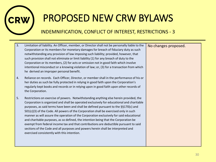

#### INDEMNIFICATION, CONFLICT OF INTEREST, RESTRICTIONS - 3

| 3.<br>Limitation of liability. An Officer, member, or Director shall not be personally liable to the<br>Corporation or its members for monetary damages for breach of fiduciary duty as such<br>notwithstanding any provision of law imposing such liability; provided, however, that<br>such provision shall not eliminate or limit liability (1) for any breach of duty to the<br>Corporation or its members, (2) for acts or omission not in good faith which involve<br>intentional misconduct or a knowing violation of law; or, (3) for a transaction from which<br>he derived an improper personal benefit.                                                                                                                                                                       | No changes proposed. |
|------------------------------------------------------------------------------------------------------------------------------------------------------------------------------------------------------------------------------------------------------------------------------------------------------------------------------------------------------------------------------------------------------------------------------------------------------------------------------------------------------------------------------------------------------------------------------------------------------------------------------------------------------------------------------------------------------------------------------------------------------------------------------------------|----------------------|
| Reliance on records. Each Officer, Director, or member shall in the performance of his or<br>4.<br>her duties as such be fully protected in relying in good faith upon the Corporation's<br>regularly kept books and records or in relying upon in good faith upon other records of<br>the Corporation.                                                                                                                                                                                                                                                                                                                                                                                                                                                                                  |                      |
| 5.<br>Restrictions on exercise of powers. Notwithstanding anything else herein provided, the<br>Corporation is organized and shall be operated exclusively for educational and charitable<br>purposes, as said terms have been and shall be defined pursuant to the §§170(c) and<br>$501(c)(3)$ of the Code. All powers of the Corporation shall be exercised only in such<br>manner as will assure the operation of the Corporation exclusively for said educational<br>and charitable purposes, as so defined, the intention being that the Corporation be<br>exempt from federal income tax and that contributions are deductible pursuant to said<br>sections of the Code and all purposes and powers herein shall be interpreted and<br>exercised consistently with this intention. |                      |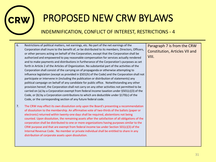

#### INDEMNIFICATION, CONFLICT OF INTEREST, RESTRICTIONS - 4

- 6. Restrictions of political matters, net earnings, etc. No part of the net earnings of the Corporation shall inure to the benefit of, or be distributed to its members, Directors, Officers, or other persons acting on behalf of the Corporation, except that the Corporation shall be authorized and empowered to pay reasonable compensation for services actually rendered and to make payments and distributions in furtherance of the Corporation's purposes as set forth in Article 2 of the Articles of Organization. No substantial part of the activities of the Corporation shall consist of the carrying on of propaganda or otherwise attempting to influence legislation (except as provided in §501(h) of the Code) and the Corporation shall not participate or intervene in (including the publication or distribution of statements) any political campaign on behalf of any candidate for public office. Notwithstanding any other provision hereof, the Corporation shall not carry on any other activities not permitted to be carried on (a) by a Corporation exempt from federal income taxation under §501(c)(3) of the Code, or (b) by a Corporation contributions to which are deductible under §170(c) of the Code, or the corresponding section of any future federal code.
- 7. The CRW may effect its own dissolution only upon the Board's presenting a recommendation of dissolution to the membership. An affirmative vote of two-thirds of the ballots (paper or electronic) returned within twenty-one days shall be required, abstentions not being counted. Upon dissolution, the remaining assets after the satisfaction of all obligations of the corporation shall be distributed to one or more organizations having purposes similar to the CRW purpose and that are exempt from federal income tax under Section 501(c)(3) of the Internal Revenue Code. No member or private individual shall be entitled to share in any distribution of corporate assets upon dissolution.

Paragraph 7 is from the CRW Constitution, Articles VII and VIII.